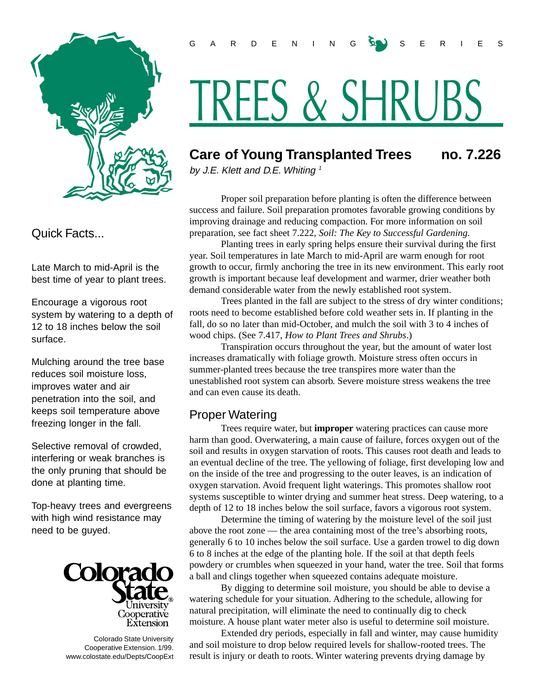

Quick Facts...

Late March to mid-April is the best time of year to plant trees.

Encourage a vigorous root system by watering to a depth of 12 to 18 inches below the soil surface.

Mulching around the tree base reduces soil moisture loss, improves water and air penetration into the soil, and keeps soil temperature above freezing longer in the fall.

Selective removal of crowded, interfering or weak branches is the only pruning that should be done at planting time.

Top-heavy trees and evergreens with high wind resistance may need to be guyed.



 Colorado State University Cooperative Extension. 1/99. www.colostate.edu/Depts/CoopExt

# TREES & SHRUBS

# **Care of Young Transplanted Trees no. 7.226**

by J.E. Klett and D.E. Whiting  $1$ 

Proper soil preparation before planting is often the difference between success and failure. Soil preparation promotes favorable growing conditions by improving drainage and reducing compaction. For more information on soil preparation, see fact sheet 7.222, *Soil: The Key to Successful Gardening*.

Planting trees in early spring helps ensure their survival during the first year. Soil temperatures in late March to mid-April are warm enough for root growth to occur, firmly anchoring the tree in its new environment. This early root growth is important because leaf development and warmer, drier weather both demand considerable water from the newly established root system.

Trees planted in the fall are subject to the stress of dry winter conditions; roots need to become established before cold weather sets in. If planting in the fall, do so no later than mid-October, and mulch the soil with 3 to 4 inches of wood chips. (See 7.417, *How to Plant Trees and Shrubs*.)

Transpiration occurs throughout the year, but the amount of water lost increases dramatically with foliage growth. Moisture stress often occurs in summer-planted trees because the tree transpires more water than the unestablished root system can absorb. Severe moisture stress weakens the tree and can even cause its death.

# Proper Watering

Trees require water, but **improper** watering practices can cause more harm than good. Overwatering, a main cause of failure, forces oxygen out of the soil and results in oxygen starvation of roots. This causes root death and leads to an eventual decline of the tree. The yellowing of foliage, first developing low and on the inside of the tree and progressing to the outer leaves, is an indication of oxygen starvation. Avoid frequent light waterings. This promotes shallow root systems susceptible to winter drying and summer heat stress. Deep watering, to a depth of 12 to 18 inches below the soil surface, favors a vigorous root system.

Determine the timing of watering by the moisture level of the soil just above the root zone — the area containing most of the tree's absorbing roots, generally 6 to 10 inches below the soil surface. Use a garden trowel to dig down 6 to 8 inches at the edge of the planting hole. If the soil at that depth feels powdery or crumbles when squeezed in your hand, water the tree. Soil that forms a ball and clings together when squeezed contains adequate moisture.

By digging to determine soil moisture, you should be able to devise a watering schedule for your situation. Adhering to the schedule, allowing for natural precipitation, will eliminate the need to continually dig to check moisture. A house plant water meter also is useful to determine soil moisture.

Extended dry periods, especially in fall and winter, may cause humidity and soil moisture to drop below required levels for shallow-rooted trees. The result is injury or death to roots. Winter watering prevents drying damage by